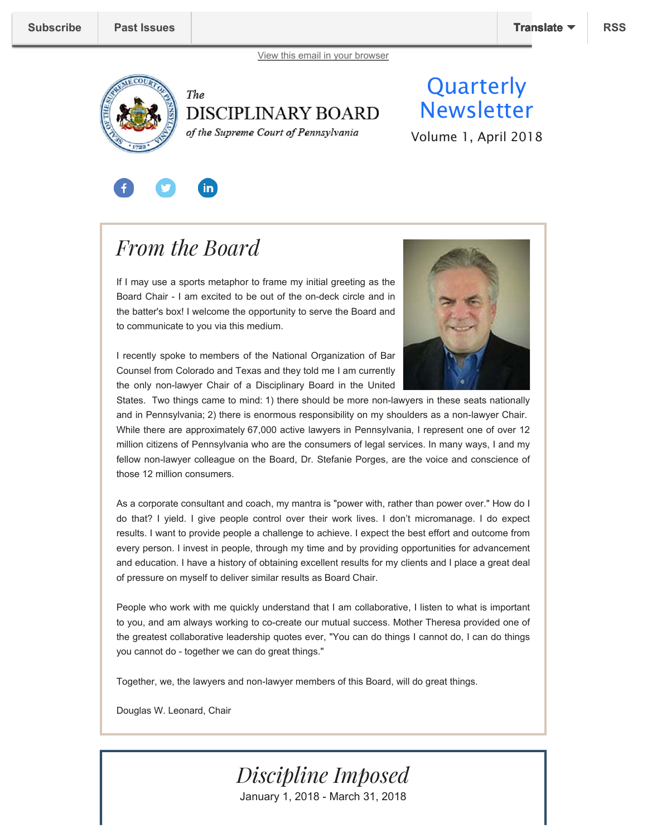



of the Supreme Court of Pennsylvania

## **Quarterly Newsletter**

Volume 1, April 2018

# in.

## *From the Board*

If I may use a sports metaphor to frame my initial greeting as the Board Chair - I am excited to be out of the on-deck circle and in the batter's box! I welcome the opportunity to serve the Board and to communicate to you via this medium.

I recently spoke to members of the National Organization of Bar Counsel from Colorado and Texas and they told me I am currently the only non-lawyer Chair of a Disciplinary Board in the United



States. Two things came to mind: 1) there should be more non-lawyers in these seats nationally and in Pennsylvania; 2) there is enormous responsibility on my shoulders as a non-lawyer Chair. While there are approximately 67,000 active lawyers in Pennsylvania, I represent one of over 12 million citizens of Pennsylvania who are the consumers of legal services. In many ways, I and my fellow non-lawyer colleague on the Board, Dr. Stefanie Porges, are the voice and conscience of those 12 million consumers.

As a corporate consultant and coach, my mantra is "power with, rather than power over." How do I do that? I yield. I give people control over their work lives. I don't micromanage. I do expect results. I want to provide people a challenge to achieve. I expect the best effort and outcome from every person. I invest in people, through my time and by providing opportunities for advancement and education. I have a history of obtaining excellent results for my clients and I place a great deal of pressure on myself to deliver similar results as Board Chair.

People who work with me quickly understand that I am collaborative, I listen to what is important to you, and am always working to co-create our mutual success. Mother Theresa provided one of the greatest collaborative leadership quotes ever, "You can do things I cannot do, I can do things you cannot do - together we can do great things."

Together, we, the lawyers and non-lawyer members of this Board, will do great things.

Douglas W. Leonard, Chair



January 1, 2018 - March 31, 2018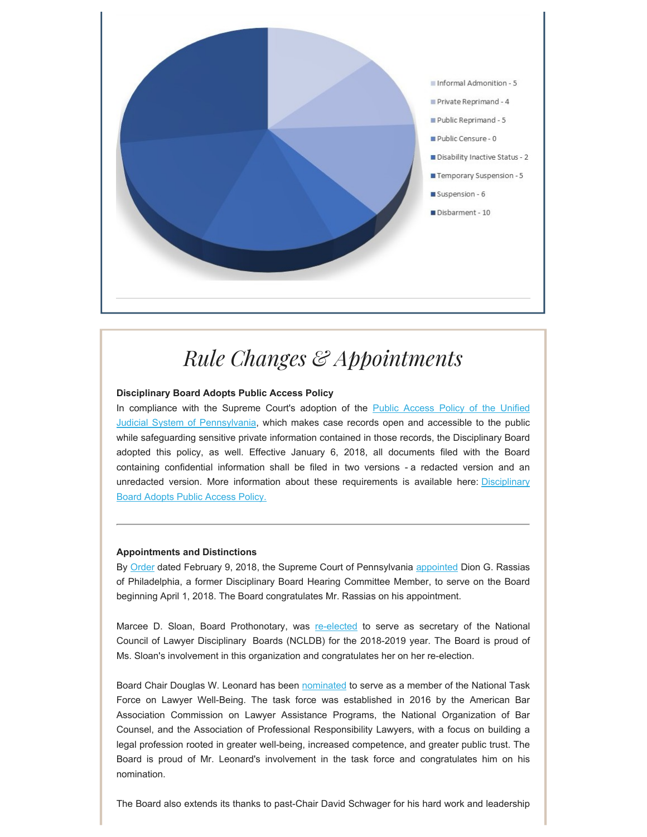

# *Rule Changes & Appointments*

#### **Disciplinary Board Adopts Public Access Policy**

In compliance with the Supreme Court's adoption of the Public Access Policy of the Unified Judicial System of Pennsylvania, which makes case records open and accessible to the public while safeguarding sensitive private information contained in those records, the Disciplinary Board adopted this policy, as well. Effective January 6, 2018, all documents filed with the Board containing confidential information shall be filed in two versions - a redacted version and an unredacted version. More information about these requirements is available here: Disciplinary Board Adopts Public Access Policy.

#### **Appointments and Distinctions**

By Order dated February 9, 2018, the Supreme Court of Pennsylvania appointed Dion G. Rassias of Philadelphia, a former Disciplinary Board Hearing Committee Member, to serve on the Board beginning April 1, 2018. The Board congratulates Mr. Rassias on his appointment.

Marcee D. Sloan, Board Prothonotary, was re-elected to serve as secretary of the National Council of Lawyer Disciplinary Boards (NCLDB) for the 2018-2019 year. The Board is proud of Ms. Sloan's involvement in this organization and congratulates her on her re-election.

Board Chair Douglas W. Leonard has been nominated to serve as a member of the National Task Force on Lawyer Well-Being. The task force was established in 2016 by the American Bar Association Commission on Lawyer Assistance Programs, the National Organization of Bar Counsel, and the Association of Professional Responsibility Lawyers, with a focus on building a legal profession rooted in greater well-being, increased competence, and greater public trust. The Board is proud of Mr. Leonard's involvement in the task force and congratulates him on his nomination.

The Board also extends its thanks to past-Chair David Schwager for his hard work and leadership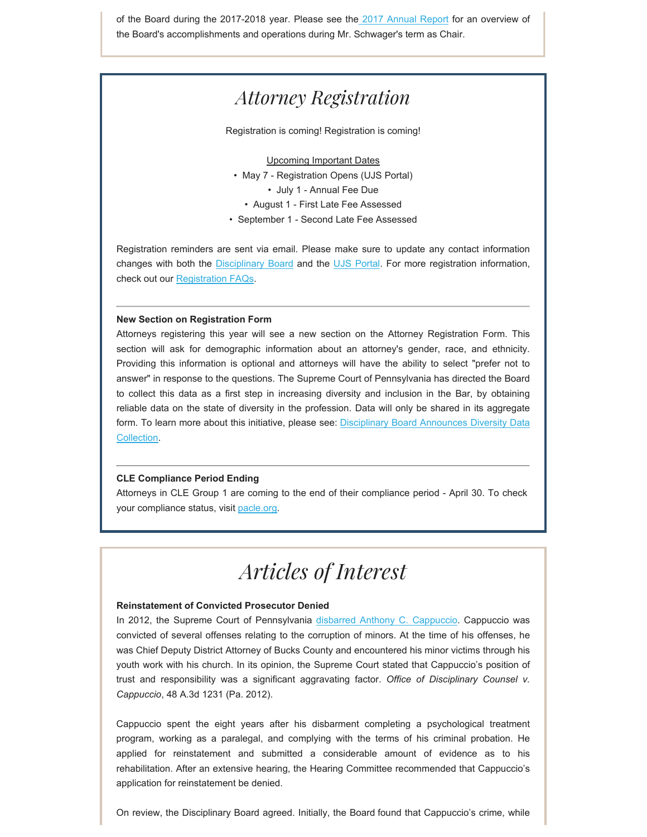of the Board during the 2017-2018 year. Please see the 2017 Annual Report for an overview of the Board's accomplishments and operations during Mr. Schwager's term as Chair.

### *Attorney Registration*

Registration is coming! Registration is coming!

#### Upcoming Important Dates

- May 7 Registration Opens (UJS Portal)
	- July 1 Annual Fee Due
	- August 1 First Late Fee Assessed
- September 1 Second Late Fee Assessed

Registration reminders are sent via email. Please make sure to update any contact information changes with both the Disciplinary Board and the UJS Portal. For more registration information, check out our Registration FAQs.

#### **New Section on Registration Form**

Attorneys registering this year will see a new section on the Attorney Registration Form. This section will ask for demographic information about an attorney's gender, race, and ethnicity. Providing this information is optional and attorneys will have the ability to select "prefer not to answer" in response to the questions. The Supreme Court of Pennsylvania has directed the Board to collect this data as a first step in increasing diversity and inclusion in the Bar, by obtaining reliable data on the state of diversity in the profession. Data will only be shared in its aggregate form. To learn more about this initiative, please see: Disciplinary Board Announces Diversity Data Collection.

#### **CLE Compliance Period Ending**

Attorneys in CLE Group 1 are coming to the end of their compliance period - April 30. To check your compliance status, visit pacle.org.

## *Articles of Interest*

#### **Reinstatement of Convicted Prosecutor Denied**

In 2012, the Supreme Court of Pennsylvania disbarred Anthony C. Cappuccio. Cappuccio was convicted of several offenses relating to the corruption of minors. At the time of his offenses, he was Chief Deputy District Attorney of Bucks County and encountered his minor victims through his youth work with his church. In its opinion, the Supreme Court stated that Cappuccio's position of trust and responsibility was a significant aggravating factor. *Office of Disciplinary Counsel v. Cappuccio*, 48 A.3d 1231 (Pa. 2012).

Cappuccio spent the eight years after his disbarment completing a psychological treatment program, working as a paralegal, and complying with the terms of his criminal probation. He applied for reinstatement and submitted a considerable amount of evidence as to his rehabilitation. After an extensive hearing, the Hearing Committee recommended that Cappuccio's application for reinstatement be denied.

On review, the Disciplinary Board agreed. Initially, the Board found that Cappuccio's crime, while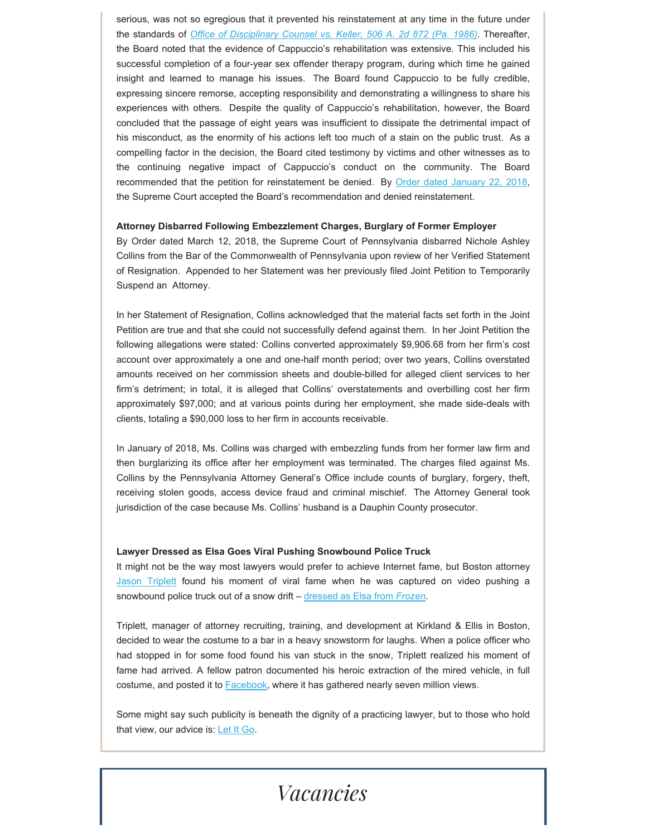serious, was not so egregious that it prevented his reinstatement at any time in the future under the standards of *Office of Disciplinary Counsel vs. Keller, 506 A. 2d 872 (Pa. 1986)*. Thereafter, the Board noted that the evidence of Cappuccio's rehabilitation was extensive. This included his successful completion of a four-year sex offender therapy program, during which time he gained insight and learned to manage his issues. The Board found Cappuccio to be fully credible, expressing sincere remorse, accepting responsibility and demonstrating a willingness to share his experiences with others. Despite the quality of Cappuccio's rehabilitation, however, the Board concluded that the passage of eight years was insufficient to dissipate the detrimental impact of his misconduct, as the enormity of his actions left too much of a stain on the public trust. As a compelling factor in the decision, the Board cited testimony by victims and other witnesses as to the continuing negative impact of Cappuccio's conduct on the community. The Board recommended that the petition for reinstatement be denied. By Order dated January 22, 2018, the Supreme Court accepted the Board's recommendation and denied reinstatement.

#### **Attorney Disbarred Following Embezzlement Charges, Burglary of Former Employer**

By Order dated March 12, 2018, the Supreme Court of Pennsylvania disbarred Nichole Ashley Collins from the Bar of the Commonwealth of Pennsylvania upon review of her Verified Statement of Resignation. Appended to her Statement was her previously filed Joint Petition to Temporarily Suspend an Attorney.

In her Statement of Resignation, Collins acknowledged that the material facts set forth in the Joint Petition are true and that she could not successfully defend against them. In her Joint Petition the following allegations were stated: Collins converted approximately \$9,906.68 from her firm's cost account over approximately a one and one-half month period; over two years, Collins overstated amounts received on her commission sheets and double-billed for alleged client services to her firm's detriment; in total, it is alleged that Collins' overstatements and overbilling cost her firm approximately \$97,000; and at various points during her employment, she made side-deals with clients, totaling a \$90,000 loss to her firm in accounts receivable.

In January of 2018, Ms. Collins was charged with embezzling funds from her former law firm and then burglarizing its office after her employment was terminated. The charges filed against Ms. Collins by the Pennsylvania Attorney General's Office include counts of burglary, forgery, theft, receiving stolen goods, access device fraud and criminal mischief. The Attorney General took jurisdiction of the case because Ms. Collins' husband is a Dauphin County prosecutor.

#### **Lawyer Dressed as Elsa Goes Viral Pushing Snowbound Police Truck**

It might not be the way most lawyers would prefer to achieve Internet fame, but Boston attorney Jason Triplett found his moment of viral fame when he was captured on video pushing a snowbound police truck out of a snow drift – dressed as Elsa from *Frozen*.

Triplett, manager of attorney recruiting, training, and development at Kirkland & Ellis in Boston, decided to wear the costume to a bar in a heavy snowstorm for laughs. When a police officer who had stopped in for some food found his van stuck in the snow, Triplett realized his moment of fame had arrived. A fellow patron documented his heroic extraction of the mired vehicle, in full costume, and posted it to **Facebook**, where it has gathered nearly seven million views.

Some might say such publicity is beneath the dignity of a practicing lawyer, but to those who hold that view, our advice is: Let It Go.

### *Vacancies*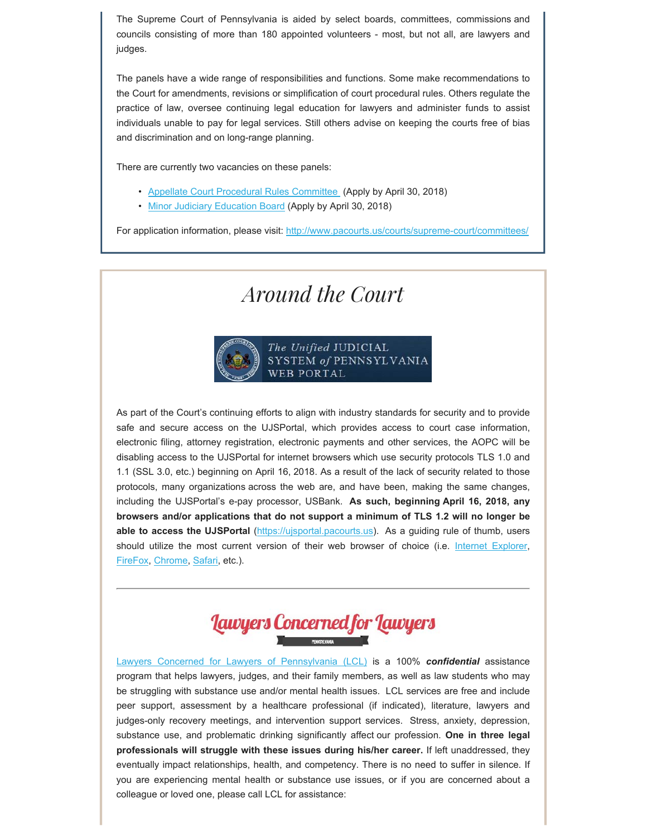The Supreme Court of Pennsylvania is aided by select boards, committees, commissions and councils consisting of more than 180 appointed volunteers - most, but not all, are lawyers and judges.

The panels have a wide range of responsibilities and functions. Some make recommendations to the Court for amendments, revisions or simplification of court procedural rules. Others regulate the practice of law, oversee continuing legal education for lawyers and administer funds to assist individuals unable to pay for legal services. Still others advise on keeping the courts free of bias and discrimination and on long-range planning.

There are currently two vacancies on these panels:

- Appellate Court Procedural Rules Committee (Apply by April 30, 2018)
- Minor Judiciary Education Board (Apply by April 30, 2018)

For application information, please visit: http://www.pacourts.us/courts/supreme-court/committees/

### *Around the Court*



As part of the Court's continuing efforts to align with industry standards for security and to provide safe and secure access on the UJSPortal, which provides access to court case information, electronic filing, attorney registration, electronic payments and other services, the AOPC will be disabling access to the UJSPortal for internet browsers which use security protocols TLS 1.0 and 1.1 (SSL 3.0, etc.) beginning on April 16, 2018. As a result of the lack of security related to those protocols, many organizations across the web are, and have been, making the same changes, including the UJSPortal's e-pay processor, USBank. **As such, beginning April 16, 2018, any browsers and/or applications that do not support a minimum of TLS 1.2 will no longer be able to access the UJSPortal** (https://ujsportal.pacourts.us). As a guiding rule of thumb, users should utilize the most current version of their web browser of choice (i.e. Internet Explorer, FireFox, Chrome, Safari, etc.).



Lawyers Concerned for Lawyers of Pennsylvania (LCL) is a 100% *confidential* assistance program that helps lawyers, judges, and their family members, as well as law students who may be struggling with substance use and/or mental health issues. LCL services are free and include peer support, assessment by a healthcare professional (if indicated), literature, lawyers and judges-only recovery meetings, and intervention support services. Stress, anxiety, depression, substance use, and problematic drinking significantly affect our profession. **One in three legal professionals will struggle with these issues during his/her career.** If left unaddressed, they eventually impact relationships, health, and competency. There is no need to suffer in silence. If you are experiencing mental health or substance use issues, or if you are concerned about a colleague or loved one, please call LCL for assistance: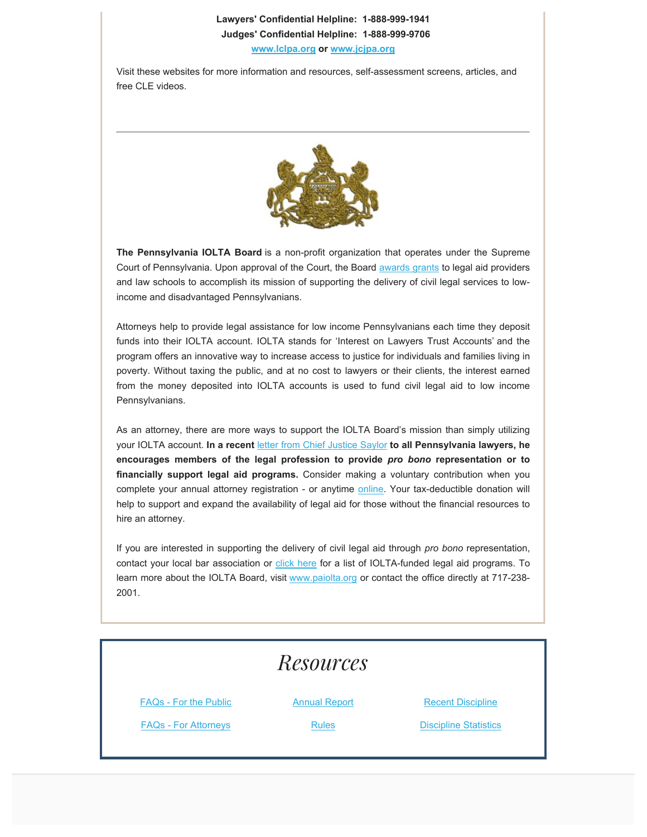### **Lawyers' Confidential Helpline: 1-888-999-1941**

#### **Judges' Confidential Helpline: 1-888-999-9706**

**www.lclpa.org or www.jcjpa.org**

Visit these websites for more information and resources, self-assessment screens, articles, and free CLE videos.



**The Pennsylvania IOLTA Board** is a non-profit organization that operates under the Supreme Court of Pennsylvania. Upon approval of the Court, the Board awards grants to legal aid providers and law schools to accomplish its mission of supporting the delivery of civil legal services to lowincome and disadvantaged Pennsylvanians.

Attorneys help to provide legal assistance for low income Pennsylvanians each time they deposit funds into their IOLTA account. IOLTA stands for 'Interest on Lawyers Trust Accounts' and the program offers an innovative way to increase access to justice for individuals and families living in poverty. Without taxing the public, and at no cost to lawyers or their clients, the interest earned from the money deposited into IOLTA accounts is used to fund civil legal aid to low income Pennsylvanians.

As an attorney, there are more ways to support the IOLTA Board's mission than simply utilizing your IOLTA account. **In a recent** letter from Chief Justice Saylor **to all Pennsylvania lawyers, he encourages members of the legal profession to provide** *pro bono* **representation or to financially support legal aid programs.** Consider making a voluntary contribution when you complete your annual attorney registration - or anytime online. Your tax-deductible donation will help to support and expand the availability of legal aid for those without the financial resources to hire an attorney.

If you are interested in supporting the delivery of civil legal aid through *pro bono* representation, contact your local bar association or click here for a list of IOLTA-funded legal aid programs. To learn more about the IOLTA Board, visit www.paiolta.org or contact the office directly at 717-238- 2001.